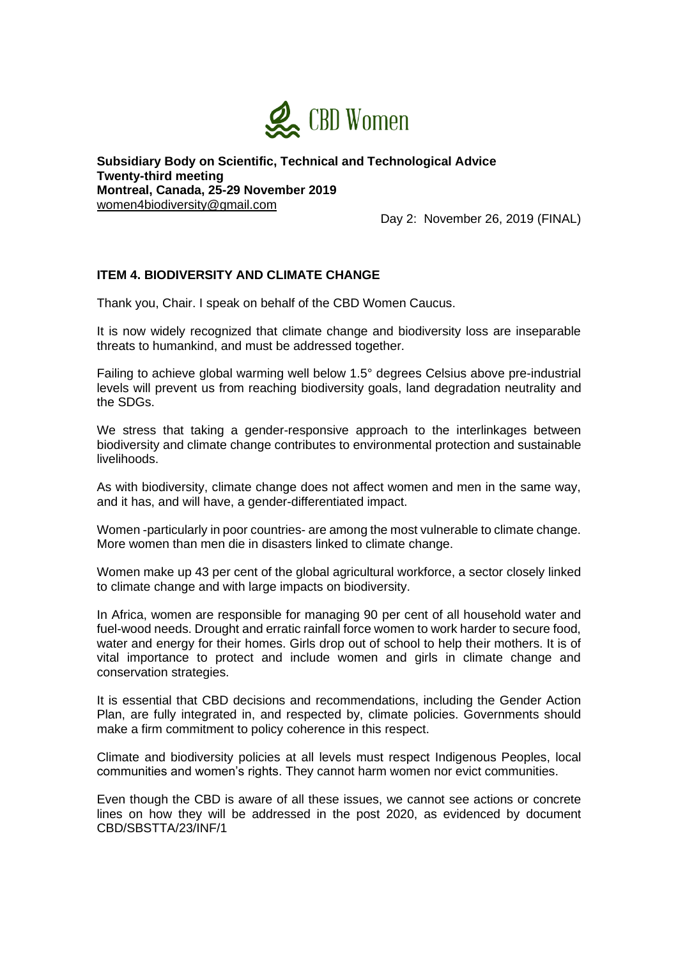

**Subsidiary Body on Scientific, Technical and Technological Advice Twenty-third meeting Montreal, Canada, 25-29 November 2019** [women4biodiversity@gmail.com](mailto:women4biodiversity@gmail.com)

Day 2: November 26, 2019 (FINAL)

## **ITEM 4. BIODIVERSITY AND CLIMATE CHANGE**

Thank you, Chair. I speak on behalf of the CBD Women Caucus.

It is now widely recognized that climate change and biodiversity loss are inseparable threats to humankind, and must be addressed together.

Failing to achieve global warming well below 1.5° degrees Celsius above pre-industrial levels will prevent us from reaching biodiversity goals, land degradation neutrality and the SDGs.

We stress that taking a gender-responsive approach to the interlinkages between biodiversity and climate change contributes to environmental protection and sustainable livelihoods.

As with biodiversity, climate change does not affect women and men in the same way, and it has, and will have, a gender-differentiated impact.

Women -particularly in poor countries- are among the most vulnerable to climate change. More women than men die in disasters linked to climate change.

Women make up 43 per cent of the global agricultural workforce, a sector closely linked to climate change and with large impacts on biodiversity.

In Africa, women are responsible for managing 90 per cent of all household water and fuel-wood needs. Drought and erratic rainfall force women to work harder to secure food, water and energy for their homes. Girls drop out of school to help their mothers. It is of vital importance to protect and include women and girls in climate change and conservation strategies.

It is essential that CBD decisions and recommendations, including the Gender Action Plan, are fully integrated in, and respected by, climate policies. Governments should make a firm commitment to policy coherence in this respect.

Climate and biodiversity policies at all levels must respect Indigenous Peoples, local communities and women's rights. They cannot harm women nor evict communities.

Even though the CBD is aware of all these issues, we cannot see actions or concrete lines on how they will be addressed in the post 2020, as evidenced by document CBD/SBSTTA/23/INF/1